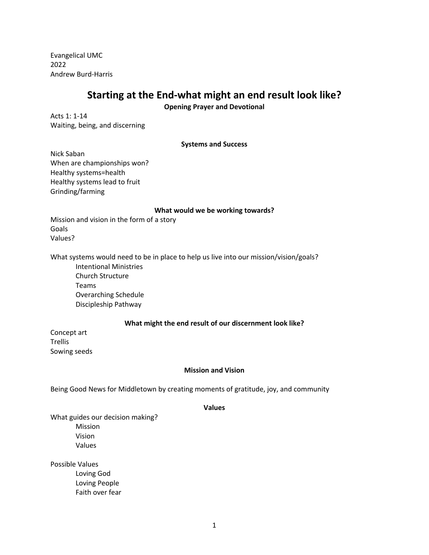Evangelical UMC 2022 Andrew Burd-Harris

# **Starting at the End-what might an end result look like?**

**Opening Prayer and Devotional**

Acts 1: 1-14 Waiting, being, and discerning

**Systems and Success**

Nick Saban When are championships won? Healthy systems=health Healthy systems lead to fruit Grinding/farming

#### **What would we be working towards?**

Mission and vision in the form of a story Goals Values?

What systems would need to be in place to help us live into our mission/vision/goals?

Intentional Ministries Church Structure Teams Overarching Schedule Discipleship Pathway

### **What might the end result of our discernment look like?**

Concept art Trellis Sowing seeds

#### **Mission and Vision**

Being Good News for Middletown by creating moments of gratitude, joy, and community

#### **Values**

What guides our decision making? Mission Vision Values

Possible Values Loving God Loving People Faith over fear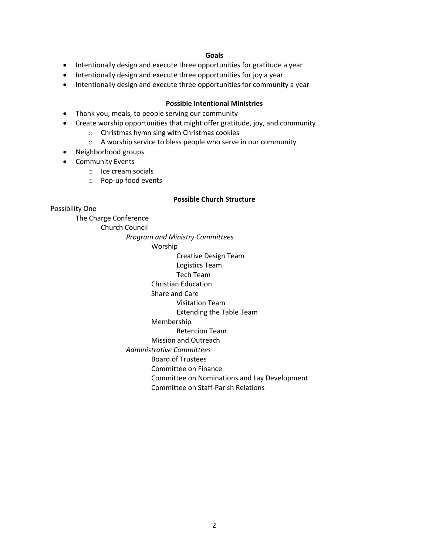#### **Goals**

- Intentionally design and execute three opportunities for gratitude a year
- Intentionally design and execute three opportunities for joy a year
- Intentionally design and execute three opportunities for community a year

### **Possible Intentional Ministries**

- Thank you, meals, to people serving our community
- Create worship opportunities that might offer gratitude, joy, and community
	- o Christmas hymn sing with Christmas cookies
		- o A worship service to bless people who serve in our community
- Neighborhood groups
- Community Events
	- o Ice cream socials
	- o Pop-up food events

#### **Possible Church Structure**

Possibility One

The Charge Conference

Church Council

*Program and Ministry Committees*

Worship

Creative Design Team

Logistics Team

# Tech Team

Christian Education

# Share and Care

Visitation Team

Extending the Table Team

#### Membership

Retention Team

Mission and Outreach

*Administrative Committees*

Board of Trustees

Committee on Finance

Committee on Nominations and Lay Development

Committee on Staff-Parish Relations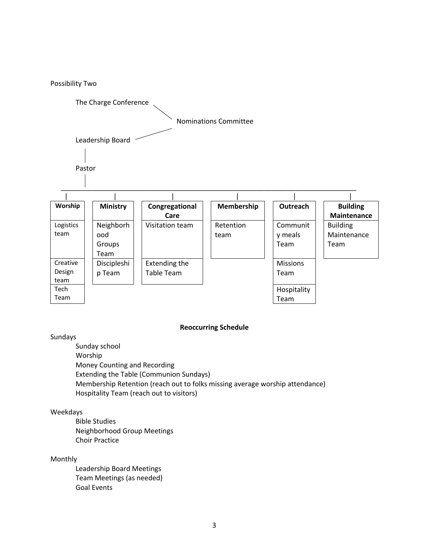

### **Reoccurring Schedule**

# Sundays

Sunday school Worship Money Counting and Recording Extending the Table (Communion Sundays) Membership Retention (reach out to folks missing average worship attendance) Hospitality Team (reach out to visitors)

# Weekdays

Bible Studies Neighborhood Group Meetings Choir Practice

### Monthly

Leadership Board Meetings Team Meetings (as needed) Goal Events